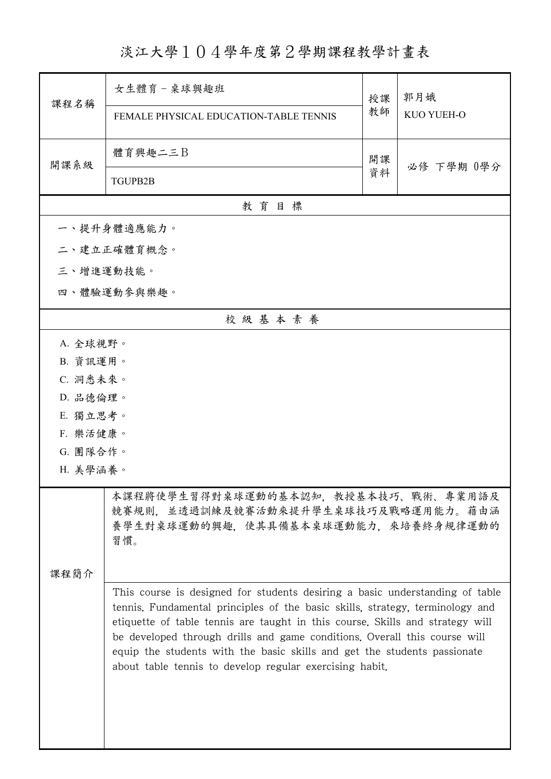## 淡江大學104學年度第2學期課程教學計畫表

| 課程名稱                                                                                                                                                                                                                                                                                                                                                                                                                                                               | 女生體育 - 桌球興趣班                                                                                                             | 授課<br>教師 | 郭月娥<br>KUO YUEH-O |
|--------------------------------------------------------------------------------------------------------------------------------------------------------------------------------------------------------------------------------------------------------------------------------------------------------------------------------------------------------------------------------------------------------------------------------------------------------------------|--------------------------------------------------------------------------------------------------------------------------|----------|-------------------|
|                                                                                                                                                                                                                                                                                                                                                                                                                                                                    | FEMALE PHYSICAL EDUCATION-TABLE TENNIS                                                                                   |          |                   |
| 開課系級                                                                                                                                                                                                                                                                                                                                                                                                                                                               | 體育興趣二三B                                                                                                                  | 開課       | 必修 下學期 0學分        |
|                                                                                                                                                                                                                                                                                                                                                                                                                                                                    | <b>TGUPB2B</b>                                                                                                           | 資料       |                   |
|                                                                                                                                                                                                                                                                                                                                                                                                                                                                    | 教育目標                                                                                                                     |          |                   |
|                                                                                                                                                                                                                                                                                                                                                                                                                                                                    | 一、提升身體適應能力。                                                                                                              |          |                   |
|                                                                                                                                                                                                                                                                                                                                                                                                                                                                    | 二、建立正確體育概念。                                                                                                              |          |                   |
| 三、增進運動技能。                                                                                                                                                                                                                                                                                                                                                                                                                                                          |                                                                                                                          |          |                   |
|                                                                                                                                                                                                                                                                                                                                                                                                                                                                    | 四、體驗運動參與樂趣。                                                                                                              |          |                   |
|                                                                                                                                                                                                                                                                                                                                                                                                                                                                    | 校級基本素養                                                                                                                   |          |                   |
| A. 全球視野。                                                                                                                                                                                                                                                                                                                                                                                                                                                           |                                                                                                                          |          |                   |
|                                                                                                                                                                                                                                                                                                                                                                                                                                                                    | B. 資訊運用。                                                                                                                 |          |                   |
| C. 洞悉未來。                                                                                                                                                                                                                                                                                                                                                                                                                                                           |                                                                                                                          |          |                   |
| D. 品德倫理。                                                                                                                                                                                                                                                                                                                                                                                                                                                           |                                                                                                                          |          |                   |
|                                                                                                                                                                                                                                                                                                                                                                                                                                                                    | E. 獨立思考。                                                                                                                 |          |                   |
| F. 樂活健康。                                                                                                                                                                                                                                                                                                                                                                                                                                                           |                                                                                                                          |          |                   |
|                                                                                                                                                                                                                                                                                                                                                                                                                                                                    | G. 團隊合作。                                                                                                                 |          |                   |
| H. 美學涵養。                                                                                                                                                                                                                                                                                                                                                                                                                                                           |                                                                                                                          |          |                   |
|                                                                                                                                                                                                                                                                                                                                                                                                                                                                    | 本課程將使學生習得對桌球運動的基本認知,教授基本技巧、戰術、專業用語及<br>競賽規則,並透過訓練及競賽活動來提升學生桌球技巧及戰略運用能力。藉由涵<br>養學生對桌球運動的興趣,使其具備基本桌球運動能力,來培養終身規律運動的<br>習慣。 |          |                   |
| 课程简介                                                                                                                                                                                                                                                                                                                                                                                                                                                               |                                                                                                                          |          |                   |
| This course is designed for students desiring a basic understanding of table<br>tennis. Fundamental principles of the basic skills, strategy, terminology and<br>etiquette of table tennis are taught in this course. Skills and strategy will<br>be developed through drills and game conditions. Overall this course will<br>equip the students with the basic skills and get the students passionate<br>about table tennis to develop regular exercising habit. |                                                                                                                          |          |                   |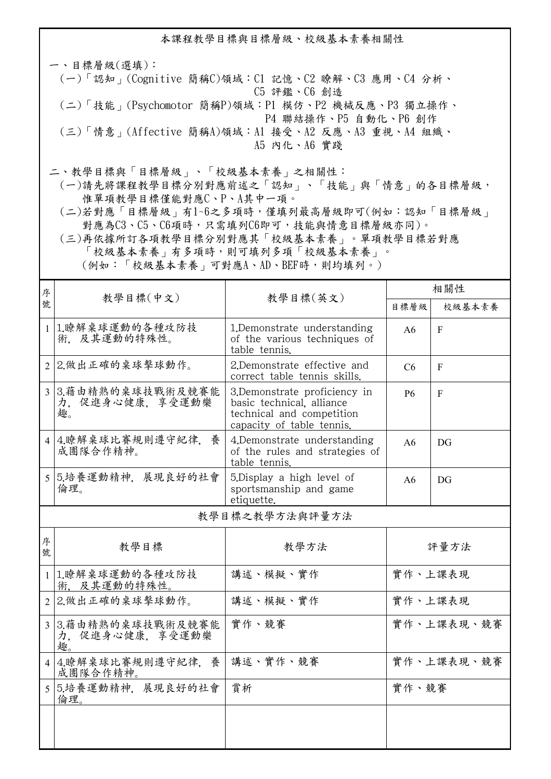本課程教學目標與目標層級、校級基本素養相關性

一、目標層級(選填): (一)「認知」(Cognitive 簡稱C)領域:C1 記憶、C2 瞭解、C3 應用、C4 分析、 C5 評鑑、C6 創造 (二)「技能」(Psychomotor 簡稱P)領域:P1 模仿、P2 機械反應、P3 獨立操作、 P4 聯結操作、P5 自動化、P6 創作 (三)「情意」(Affective 簡稱A)領域:A1 接受、A2 反應、A3 重視、A4 組織、 A5 內化、A6 實踐

二、教學目標與「目標層級」、「校級基本素養」之相關性:

 (一)請先將課程教學目標分別對應前述之「認知」、「技能」與「情意」的各目標層級, 惟單項教學目標僅能對應C、P、A其中一項。

 (二)若對應「目標層級」有1~6之多項時,僅填列最高層級即可(例如:認知「目標層級」 對應為C3、C5、C6項時,只需填列C6即可,技能與情意目標層級亦同)。

 (三)再依據所訂各項教學目標分別對應其「校級基本素養」。單項教學目標若對應 「校級基本素養」有多項時,則可填列多項「校級基本素養」。

(例如:「校級基本素養」可對應A、AD、BEF時,則均填列。)

| 序 | 教學目標(中文)                                   | 教學目標(英文)                                                                                                             | 相關性            |                |
|---|--------------------------------------------|----------------------------------------------------------------------------------------------------------------------|----------------|----------------|
| 號 |                                            |                                                                                                                      | 目標層級           | 校級基本素養         |
|   | 1 1.瞭解桌球運動的各種攻防技<br>術. 及其運動的特殊性。           | 1. Demonstrate understanding<br>of the various techniques of<br>table tennis.                                        | A6             | $\mathbf{F}$   |
|   | 2 2.做出正確的桌球擊球動作。                           | 2. Demonstrate effective and<br>correct table tennis skills.                                                         | C <sub>6</sub> | $\overline{F}$ |
|   | 3 3.藉由精熟的桌球技戰術及競賽能<br>力、促進身心健康、享受運動樂<br>趣。 | 3. Demonstrate proficiency in<br>basic technical, alliance<br>technical and competition<br>capacity of table tennis. | <b>P6</b>      | $\mathbf{F}$   |
|   | 4 4.瞭解桌球比賽規則遵守紀律, 養<br>成團隊合作精神。            | 4. Demonstrate understanding<br>of the rules and strategies of<br>table tennis.                                      | A6             | DG             |
|   | 5 5.培養運動精神, 展現良好的社會<br>倫理。                 | 5. Display a high level of<br>sportsmanship and game<br>etiquette.                                                   | A6             | DG             |
|   | 教學目標之教學方法與評量方法                             |                                                                                                                      |                |                |
|   |                                            |                                                                                                                      |                |                |

| 序<br>號        | 教學目標                                     | 教學方法     | 評量方法       |
|---------------|------------------------------------------|----------|------------|
|               | 1.瞭解桌球運動的各種攻防技<br>術. 及其運動的特殊性。           | 講述、模擬、實作 | 實作、上課表現    |
|               | 2 2.做出正確的桌球擊球動作。                         | 講述、模擬、實作 | 實作、上課表現    |
| $\mathcal{F}$ | 3.藉由精熟的桌球技戰術及競賽能<br>力、促進身心健康、享受運動樂<br>趣。 | 實作、競賽    | 實作、上課表現、競賽 |
|               | 4 4.瞭解桌球比賽規則遵守紀律,養<br>成團隊合作精神。           | 講述、實作、競賽 | 實作、上課表現、競賽 |
| 5.            | 5.培養運動精神,展現良好的社會<br>倫理。                  | 賞析       | 實作、競賽      |
|               |                                          |          |            |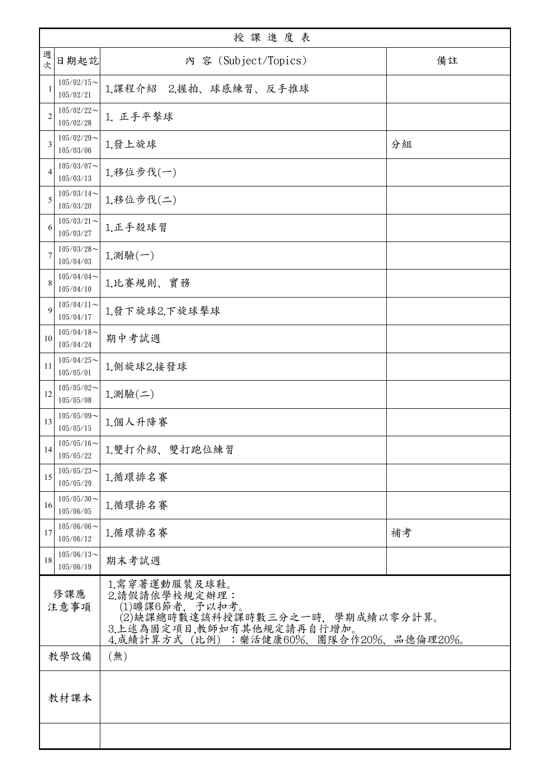|                                                                                                                                                                              | 授課進度表                         |                       |    |
|------------------------------------------------------------------------------------------------------------------------------------------------------------------------------|-------------------------------|-----------------------|----|
| 週次                                                                                                                                                                           | 日期起訖                          | 内 容 (Subject/Topics)  | 備註 |
|                                                                                                                                                                              | $105/02/15$ ~<br>105/02/21    | 1.課程介紹 2.握拍、球感練習、反手推球 |    |
| $\overline{c}$                                                                                                                                                               | $105/02/22$ ~<br>105/02/28    | 1. 正手平擊球              |    |
| 3                                                                                                                                                                            | $105/02/29$ ~<br>105/03/06    | 1.發上旋球                | 分組 |
| 4                                                                                                                                                                            | $105/03/07$ ~<br>105/03/13    | 1.移位步伐(一)             |    |
| 5                                                                                                                                                                            | $105/03/14$ ~<br>105/03/20    | 1.移位步伐(二)             |    |
| 6                                                                                                                                                                            | $105/03/21$ ~<br>105/03/27    | 1.正手殺球習               |    |
| 7                                                                                                                                                                            | $105/03/28$ ~<br>105/04/03    | $1.$ 測驗 $(-)$         |    |
| 8                                                                                                                                                                            | $105/04/04$ ~<br>105/04/10    | 1.比賽規則、實務             |    |
| 9                                                                                                                                                                            | $105/04/11$ ~<br>105/04/17    | 1.發下旋球2.下旋球擊球         |    |
| 10                                                                                                                                                                           | $105/04/18$ ~<br>105/04/24    | 期中考試週                 |    |
| 11                                                                                                                                                                           | $105/04/25$ ~<br>105/05/01    | 1.側旋球2.接發球            |    |
| 12                                                                                                                                                                           | $105/05/02$ ~<br>105/05/08    | 1.測驗(二)               |    |
| 13                                                                                                                                                                           | $105/05/09$ ~<br>105/05/15    | 1.個人升降賽               |    |
| 14                                                                                                                                                                           | $105/05/16 \sim$<br>105/05/22 | 1.雙打介紹、雙打跑位練習         |    |
| 15                                                                                                                                                                           | $105/05/23$ ~<br>105/05/29    | 1.循環排名賽               |    |
| 16                                                                                                                                                                           | $105/05/30$ ~<br>105/06/05    | 1.循環排名賽               |    |
| 17                                                                                                                                                                           | $105/06/06$ ~<br>105/06/12    | 1.循環排名賽               | 補考 |
| 18                                                                                                                                                                           | $105/06/13$ ~<br>105/06/19    | 期末考試週                 |    |
| 1.需穿著運動服裝及球鞋。<br>修課應<br>2.請假請依學校規定辦理:<br>(1)曠課6節者, 予以扣考。<br>注意事項<br>(2)缺課總時數達該科授課時數三分之一時,學期成績以零分計算。<br>3.上述為固定項目,教師如有其他規定請再自行增加。<br>4.成績計算方式 (比例) : 樂活健康60%、團隊合作20%、品德倫理20%。 |                               |                       |    |
|                                                                                                                                                                              | 教學設備<br>(無)                   |                       |    |
|                                                                                                                                                                              | 教材課本                          |                       |    |